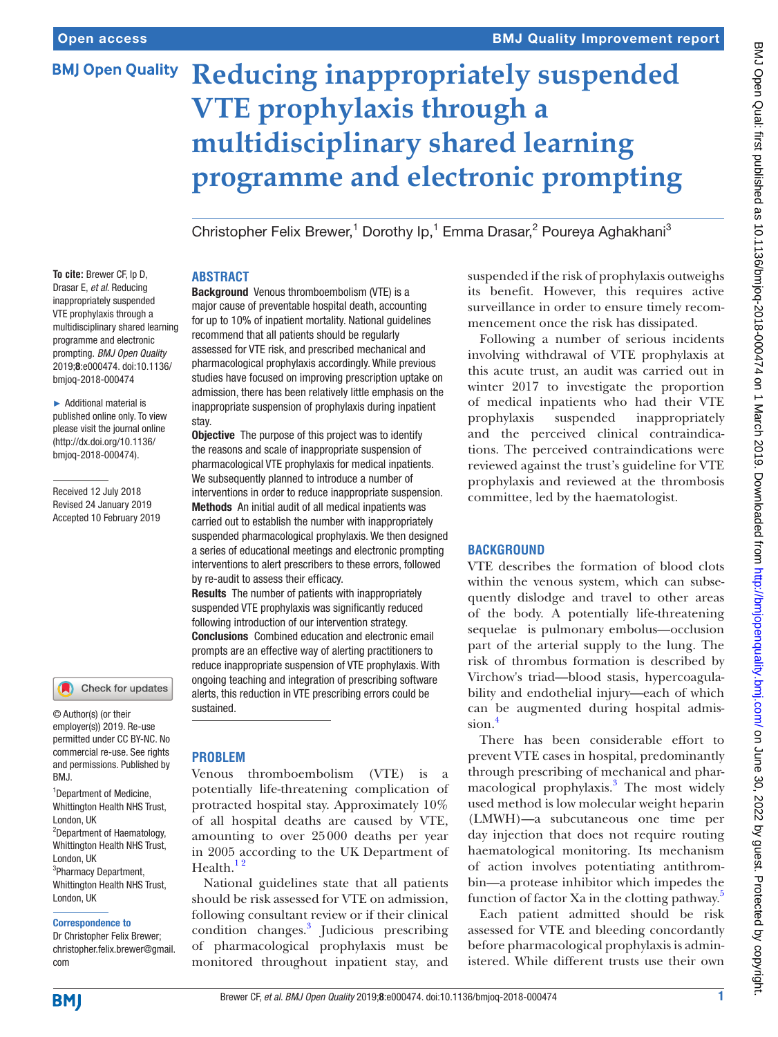# **BMJ Open Quality**

# **Reducing inappropriately suspended VTE prophylaxis through a multidisciplinary shared learning programme and electronic prompting**

Christopher Felix Brewer,<sup>1</sup> Dorothy Ip,<sup>1</sup> Emma Drasar,<sup>2</sup> Poureya Aghakhani<sup>3</sup>

### **Abstract**

**To cite:** Brewer CF, Ip D, Drasar E, *et al*. Reducing inappropriately suspended VTE prophylaxis through a multidisciplinary shared learning programme and electronic prompting. *BMJ Open Quality* 2019;8:e000474. doi:10.1136/ bmjoq-2018-000474

► Additional material is published online only. To view please visit the journal online (http://dx.doi.org/10.1136/ bmjoq-2018-000474).

Received 12 July 2018 Revised 24 January 2019 Accepted 10 February 2019



Check for updates

© Author(s) (or their employer(s)) 2019. Re-use permitted under CC BY-NC. No commercial re-use. See rights and permissions. Published by RM<sub>J</sub>

<sup>1</sup>Department of Medicine, Whittington Health NHS Trust, London, UK <sup>2</sup>Department of Haematology, Whittington Health NHS Trust, London, UK <sup>3</sup>Pharmacy Department, Whittington Health NHS Trust, London, UK

#### Correspondence to

Dr Christopher Felix Brewer; christopher.felix.brewer@gmail. com

Background Venous thromboembolism (VTE) is a major cause of preventable hospital death, accounting for up to 10% of inpatient mortality. National guidelines recommend that all patients should be regularly assessed for VTE risk, and prescribed mechanical and pharmacological prophylaxis accordingly. While previous studies have focused on improving prescription uptake on admission, there has been relatively little emphasis on the inappropriate suspension of prophylaxis during inpatient stay.

**Objective** The purpose of this project was to identify the reasons and scale of inappropriate suspension of pharmacological VTE prophylaxis for medical inpatients. We subsequently planned to introduce a number of interventions in order to reduce inappropriate suspension. Methods An initial audit of all medical inpatients was carried out to establish the number with inappropriately suspended pharmacological prophylaxis. We then designed a series of educational meetings and electronic prompting interventions to alert prescribers to these errors, followed by re-audit to assess their efficacy.

Results The number of patients with inappropriately suspended VTE prophylaxis was significantly reduced following introduction of our intervention strategy. Conclusions Combined education and electronic email prompts are an effective way of alerting practitioners to reduce inappropriate suspension of VTE prophylaxis. With ongoing teaching and integration of prescribing software alerts, this reduction in VTE prescribing errors could be sustained.

# **Problem**

Venous thromboembolism (VTE) is a potentially life-threatening complication of protracted hospital stay. Approximately 10% of all hospital deaths are caused by VTE, amounting to over 25000 deaths per year in 2005 according to the UK Department of Health. $12$ 

National guidelines state that all patients should be risk assessed for VTE on admission, following consultant review or if their clinical condition changes.[3](#page-4-1) Judicious prescribing of pharmacological prophylaxis must be monitored throughout inpatient stay, and

suspended if the risk of prophylaxis outweighs its benefit. However, this requires active surveillance in order to ensure timely recommencement once the risk has dissipated.

Following a number of serious incidents involving withdrawal of VTE prophylaxis at this acute trust, an audit was carried out in winter 2017 to investigate the proportion of medical inpatients who had their VTE prophylaxis suspended inappropriately and the perceived clinical contraindications. The perceived contraindications were reviewed against the trust's guideline for VTE prophylaxis and reviewed at the thrombosis committee, led by the haematologist.

# **Background**

VTE describes the formation of blood clots within the venous system, which can subsequently dislodge and travel to other areas of the body. A potentially life-threatening sequelae is pulmonary embolus—occlusion part of the arterial supply to the lung. The risk of thrombus formation is described by Virchow's triad—blood stasis, hypercoagulability and endothelial injury—each of which can be augmented during hospital admission.[4](#page-4-2)

There has been considerable effort to prevent VTE cases in hospital, predominantly through prescribing of mechanical and pharmacological prophylaxis.<sup>3</sup> The most widely used method is low molecular weight heparin (LMWH)—a subcutaneous one time per day injection that does not require routing haematological monitoring. Its mechanism of action involves potentiating antithrombin—a protease inhibitor which impedes the function of factor Xa in the clotting pathway.<sup>5</sup>

Each patient admitted should be risk assessed for VTE and bleeding concordantly before pharmacological prophylaxis is administered. While different trusts use their own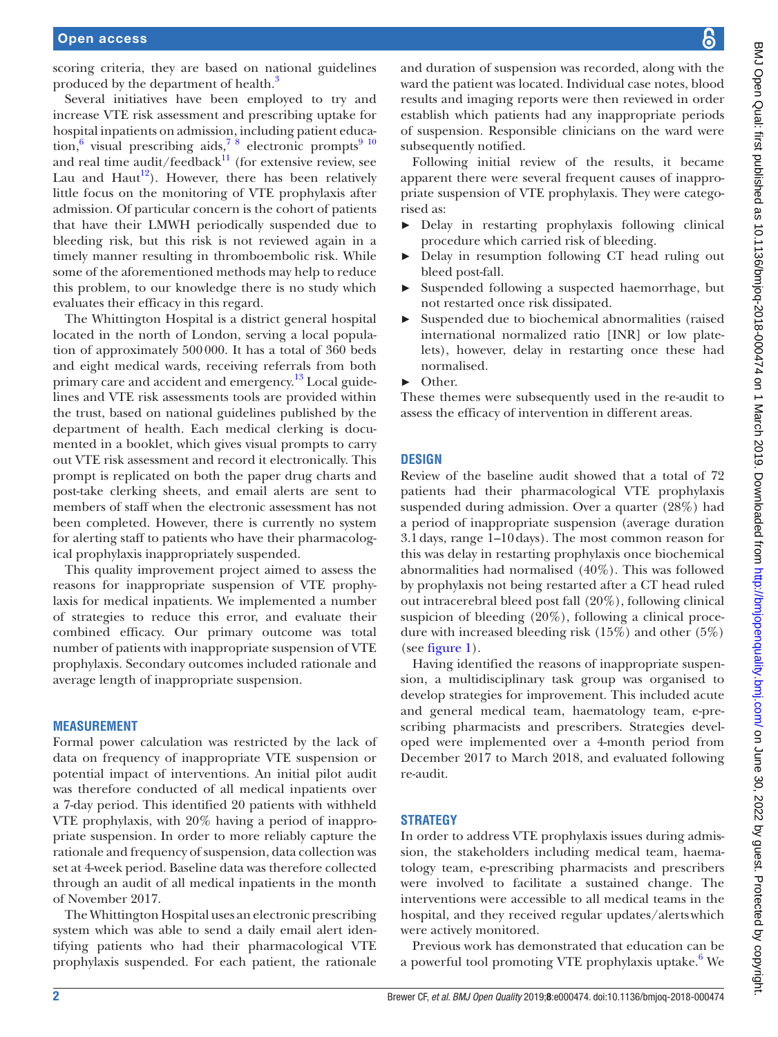scoring criteria, they are based on national guidelines produced by the department of health.<sup>3</sup>

Several initiatives have been employed to try and increase VTE risk assessment and prescribing uptake for hospital inpatients on admission, including patient education, $\frac{6}{7}$  $\frac{6}{7}$  $\frac{6}{7}$  visual prescribing aids,<sup>7</sup> <sup>8</sup> electronic prompts<sup>9</sup> <sup>10</sup> and real time audit/feedback $\frac{1}{11}$  $\frac{1}{11}$  $\frac{1}{11}$  (for extensive review, see Lau and Haut<sup>12</sup>). However, there has been relatively little focus on the monitoring of VTE prophylaxis after admission. Of particular concern is the cohort of patients that have their LMWH periodically suspended due to bleeding risk, but this risk is not reviewed again in a timely manner resulting in thromboembolic risk. While some of the aforementioned methods may help to reduce this problem, to our knowledge there is no study which evaluates their efficacy in this regard.

The Whittington Hospital is a district general hospital located in the north of London, serving a local population of approximately 500000. It has a total of 360 beds and eight medical wards, receiving referrals from both primary care and accident and emergency.<sup>13</sup> Local guidelines and VTE risk assessments tools are provided within the trust, based on national guidelines published by the department of health. Each medical clerking is documented in a booklet, which gives visual prompts to carry out VTE risk assessment and record it electronically. This prompt is replicated on both the paper drug charts and post-take clerking sheets, and email alerts are sent to members of staff when the electronic assessment has not been completed. However, there is currently no system for alerting staff to patients who have their pharmacological prophylaxis inappropriately suspended.

This quality improvement project aimed to assess the reasons for inappropriate suspension of VTE prophylaxis for medical inpatients. We implemented a number of strategies to reduce this error, and evaluate their combined efficacy. Our primary outcome was total number of patients with inappropriate suspension of VTE prophylaxis. Secondary outcomes included rationale and average length of inappropriate suspension.

#### **Measurement**

Formal power calculation was restricted by the lack of data on frequency of inappropriate VTE suspension or potential impact of interventions. An initial pilot audit was therefore conducted of all medical inpatients over a 7-day period. This identified 20 patients with withheld VTE prophylaxis, with 20% having a period of inappropriate suspension. In order to more reliably capture the rationale and frequency of suspension, data collection was set at 4-week period. Baseline data was therefore collected through an audit of all medical inpatients in the month of November 2017.

The Whittington Hospital uses an electronic prescribing system which was able to send a daily email alert identifying patients who had their pharmacological VTE prophylaxis suspended. For each patient, the rationale

and duration of suspension was recorded, along with the ward the patient was located. Individual case notes, blood results and imaging reports were then reviewed in order establish which patients had any inappropriate periods of suspension. Responsible clinicians on the ward were subsequently notified.

Following initial review of the results, it became apparent there were several frequent causes of inappropriate suspension of VTE prophylaxis. They were categorised as:

- ► Delay in restarting prophylaxis following clinical procedure which carried risk of bleeding.
- ► Delay in resumption following CT head ruling out bleed post-fall.
- ► Suspended following a suspected haemorrhage, but not restarted once risk dissipated.
- ► Suspended due to biochemical abnormalities (raised international normalized ratio [INR] or low platelets), however, delay in restarting once these had normalised.
- ► Other.

These themes were subsequently used in the re-audit to assess the efficacy of intervention in different areas.

### **Design**

Review of the baseline audit showed that a total of 72 patients had their pharmacological VTE prophylaxis suspended during admission. Over a quarter (28%) had a period of inappropriate suspension (average duration 3.1days, range 1–10days). The most common reason for this was delay in restarting prophylaxis once biochemical abnormalities had normalised (40%). This was followed by prophylaxis not being restarted after a CT head ruled out intracerebral bleed post fall (20%), following clinical suspicion of bleeding (20%), following a clinical procedure with increased bleeding risk (15%) and other (5%) (see [figure](#page-2-0) 1).

Having identified the reasons of inappropriate suspension, a multidisciplinary task group was organised to develop strategies for improvement. This included acute and general medical team, haematology team, e-prescribing pharmacists and prescribers. Strategies developed were implemented over a 4-month period from December 2017 to March 2018, and evaluated following re-audit.

# **Strategy**

In order to address VTE prophylaxis issues during admission, the stakeholders including medical team, haematology team, e-prescribing pharmacists and prescribers were involved to facilitate a sustained change. The interventions were accessible to all medical teams in the hospital, and they received regular updates/alertswhich were actively monitored.

Previous work has demonstrated that education can be a powerful tool promoting VTE prophylaxis uptake.<sup>[6](#page-4-4)</sup> We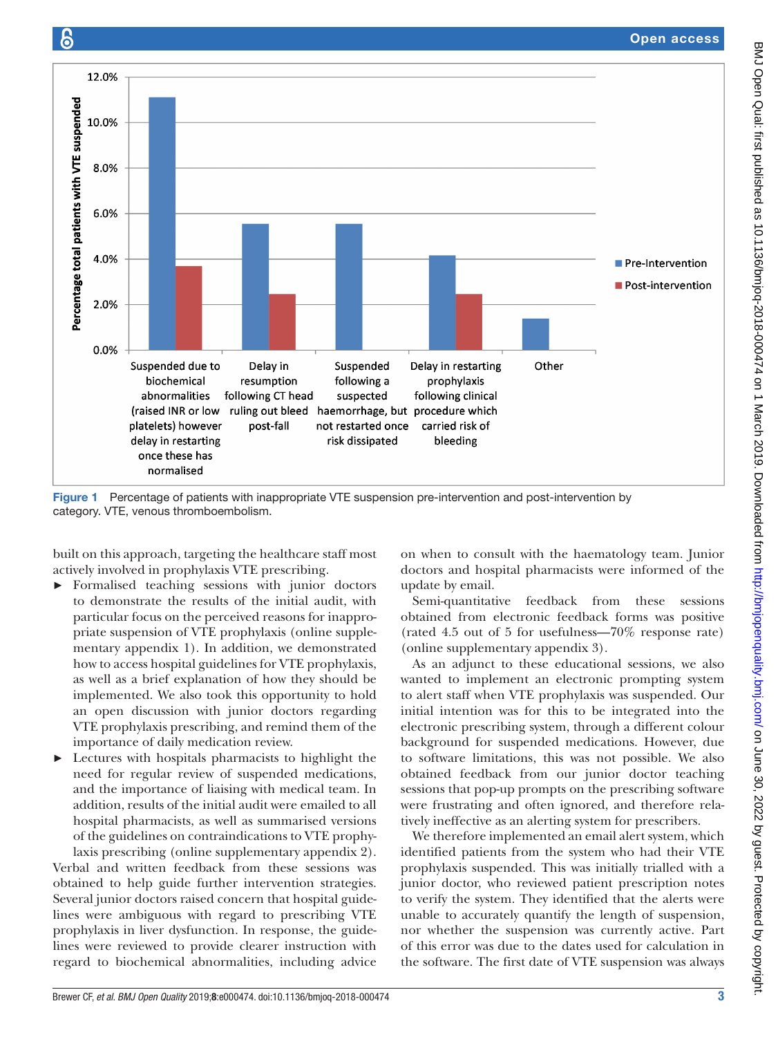

<span id="page-2-0"></span>Figure 1 Percentage of patients with inappropriate VTE suspension pre-intervention and post-intervention by category. VTE, venous thromboembolism.

built on this approach, targeting the healthcare staff most actively involved in prophylaxis VTE prescribing.

8

- ► Formalised teaching sessions with junior doctors to demonstrate the results of the initial audit, with particular focus on the perceived reasons for inappropriate suspension of VTE prophylaxis (online supplementary [appendix 1\)](https://dx.doi.org/10.1136/bmjoq-2018-000474). In addition, we demonstrated how to access hospital guidelines for VTE prophylaxis, as well as a brief explanation of how they should be implemented. We also took this opportunity to hold an open discussion with junior doctors regarding VTE prophylaxis prescribing, and remind them of the importance of daily medication review.
- Lectures with hospitals pharmacists to highlight the need for regular review of suspended medications, and the importance of liaising with medical team. In addition, results of the initial audit were emailed to all hospital pharmacists, as well as summarised versions of the guidelines on contraindications to VTE prophylaxis prescribing (online supplementary [appendix 2](https://dx.doi.org/10.1136/bmjoq-2018-000474)).

Verbal and written feedback from these sessions was obtained to help guide further intervention strategies. Several junior doctors raised concern that hospital guidelines were ambiguous with regard to prescribing VTE prophylaxis in liver dysfunction. In response, the guidelines were reviewed to provide clearer instruction with regard to biochemical abnormalities, including advice

on when to consult with the haematology team. Junior doctors and hospital pharmacists were informed of the update by email.

Semi-quantitative feedback from these sessions obtained from electronic feedback forms was positive (rated 4.5 out of 5 for usefulness—70% response rate) (online supplementary [appendix 3](https://dx.doi.org/10.1136/bmjoq-2018-000474)).

As an adjunct to these educational sessions, we also wanted to implement an electronic prompting system to alert staff when VTE prophylaxis was suspended. Our initial intention was for this to be integrated into the electronic prescribing system, through a different colour background for suspended medications. However, due to software limitations, this was not possible. We also obtained feedback from our junior doctor teaching sessions that pop-up prompts on the prescribing software were frustrating and often ignored, and therefore relatively ineffective as an alerting system for prescribers.

We therefore implemented an email alert system, which identified patients from the system who had their VTE prophylaxis suspended. This was initially trialled with a junior doctor, who reviewed patient prescription notes to verify the system. They identified that the alerts were unable to accurately quantify the length of suspension, nor whether the suspension was currently active. Part of this error was due to the dates used for calculation in the software. The first date of VTE suspension was always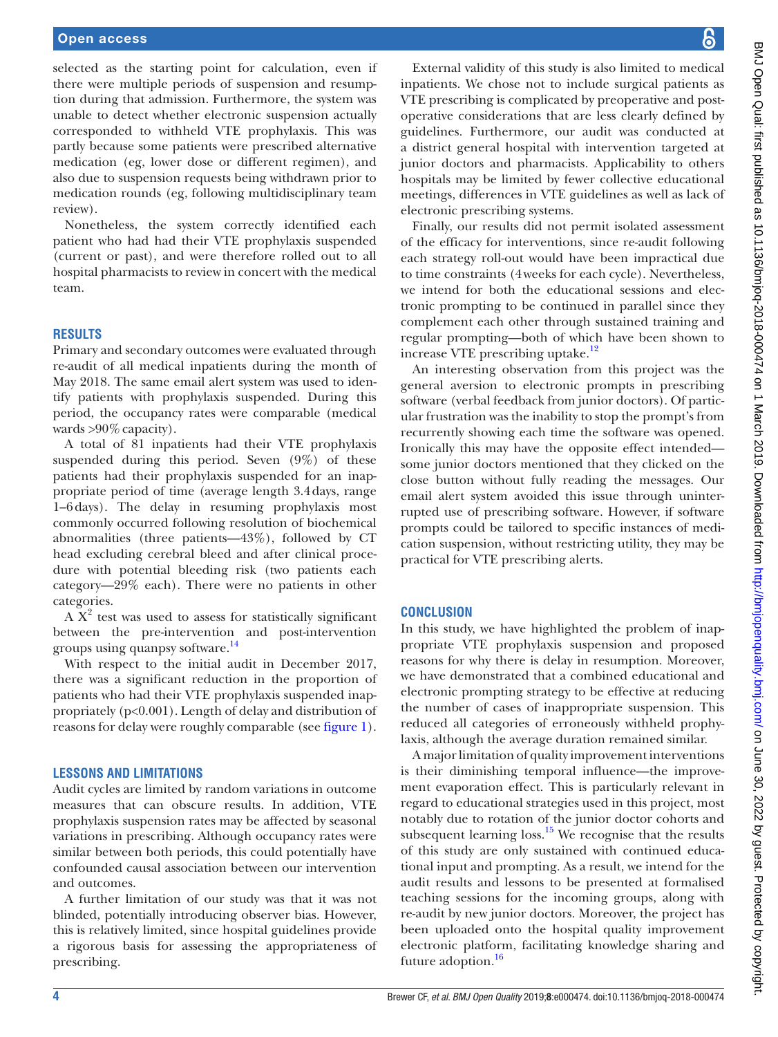selected as the starting point for calculation, even if there were multiple periods of suspension and resumption during that admission. Furthermore, the system was unable to detect whether electronic suspension actually corresponded to withheld VTE prophylaxis. This was partly because some patients were prescribed alternative medication (eg, lower dose or different regimen), and also due to suspension requests being withdrawn prior to medication rounds (eg, following multidisciplinary team review).

Nonetheless, the system correctly identified each patient who had had their VTE prophylaxis suspended (current or past), and were therefore rolled out to all hospital pharmacists to review in concert with the medical team.

#### **Results**

Primary and secondary outcomes were evaluated through re-audit of all medical inpatients during the month of May 2018. The same email alert system was used to identify patients with prophylaxis suspended. During this period, the occupancy rates were comparable (medical wards >90\% capacity).

A total of 81 inpatients had their VTE prophylaxis suspended during this period. Seven (9%) of these patients had their prophylaxis suspended for an inappropriate period of time (average length 3.4days, range 1–6days). The delay in resuming prophylaxis most commonly occurred following resolution of biochemical abnormalities (three patients—43%), followed by CT head excluding cerebral bleed and after clinical procedure with potential bleeding risk (two patients each category—29% each). There were no patients in other categories.

 $A \, \overline{X}^2$  test was used to assess for statistically significant between the pre-intervention and post-intervention groups using quanpsy software.<sup>[14](#page-4-10)</sup>

With respect to the initial audit in December 2017, there was a significant reduction in the proportion of patients who had their VTE prophylaxis suspended inappropriately (p<0.001). Length of delay and distribution of reasons for delay were roughly comparable (see [figure](#page-2-0) 1).

#### **Lessons and limitations**

Audit cycles are limited by random variations in outcome measures that can obscure results. In addition, VTE prophylaxis suspension rates may be affected by seasonal variations in prescribing. Although occupancy rates were similar between both periods, this could potentially have confounded causal association between our intervention and outcomes.

A further limitation of our study was that it was not blinded, potentially introducing observer bias. However, this is relatively limited, since hospital guidelines provide a rigorous basis for assessing the appropriateness of prescribing.

External validity of this study is also limited to medical inpatients. We chose not to include surgical patients as VTE prescribing is complicated by preoperative and postoperative considerations that are less clearly defined by guidelines. Furthermore, our audit was conducted at a district general hospital with intervention targeted at junior doctors and pharmacists. Applicability to others hospitals may be limited by fewer collective educational meetings, differences in VTE guidelines as well as lack of electronic prescribing systems.

Finally, our results did not permit isolated assessment of the efficacy for interventions, since re-audit following each strategy roll-out would have been impractical due to time constraints (4weeks for each cycle). Nevertheless, we intend for both the educational sessions and electronic prompting to be continued in parallel since they complement each other through sustained training and regular prompting—both of which have been shown to increase VTE prescribing uptake.<sup>12</sup>

An interesting observation from this project was the general aversion to electronic prompts in prescribing software (verbal feedback from junior doctors). Of particular frustration was the inability to stop the prompt's from recurrently showing each time the software was opened. Ironically this may have the opposite effect intended some junior doctors mentioned that they clicked on the close button without fully reading the messages. Our email alert system avoided this issue through uninterrupted use of prescribing software. However, if software prompts could be tailored to specific instances of medication suspension, without restricting utility, they may be practical for VTE prescribing alerts.

## **Conclusion**

In this study, we have highlighted the problem of inappropriate VTE prophylaxis suspension and proposed reasons for why there is delay in resumption. Moreover, we have demonstrated that a combined educational and electronic prompting strategy to be effective at reducing the number of cases of inappropriate suspension. This reduced all categories of erroneously withheld prophylaxis, although the average duration remained similar.

A major limitation of quality improvement interventions is their diminishing temporal influence—the improvement evaporation effect. This is particularly relevant in regard to educational strategies used in this project, most notably due to rotation of the junior doctor cohorts and subsequent learning loss. $15$  We recognise that the results of this study are only sustained with continued educational input and prompting. As a result, we intend for the audit results and lessons to be presented at formalised teaching sessions for the incoming groups, along with re-audit by new junior doctors. Moreover, the project has been uploaded onto the hospital quality improvement electronic platform, facilitating knowledge sharing and future adoption.<sup>[16](#page-4-12)</sup>